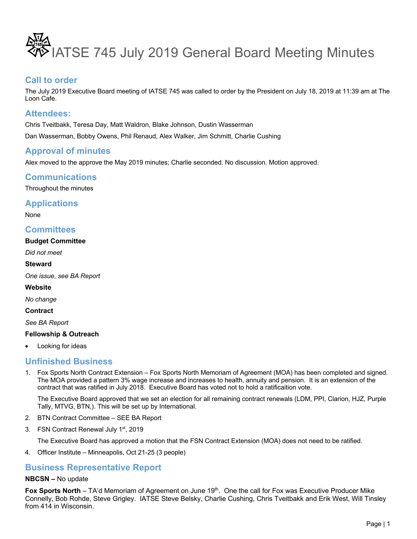

### **Call to order**

The July 2019 Executive Board meeting of IATSE 745 was called to order by the President on July 18, 2019 at 11:39 am at The Loon Cafe.

### **Attendees:**

Chris Tveitbakk, Teresa Day, Matt Waldron, Blake Johnson, Dustin Wasserman Dan Wasserman, Bobby Owens, Phil Renaud, Alex Walker, Jim Schmitt, Charlie Cushing

## **Approval of minutes**

Alex moved to the approve the May 2019 minutes; Charlie seconded. No discussion. Motion approved.

## **Communications**

Throughout the minutes

### **Applications**

None

### **Committees**

#### **Budget Committee**

*Did not meet*

#### **Steward**

*One issue, see BA Report*

#### **Website**

*No change* 

**Contract**

*See BA Report*

#### **Fellowship & Outreach**

Looking for ideas

### **Unfinished Business**

1. Fox Sports North Contract Extension – Fox Sports North Memoriam of Agreement (MOA) has been completed and signed. The MOA provided a pattern 3% wage increase and increases to health, annuity and pension. It is an extension of the contract that was ratified in July 2018. Executive Board has voted not to hold a ratificaition vote.

The Executive Board approved that we set an election for all remaining contract renewals (LDM, PPI, Clarion, HJZ, Purple Tally, MTVG, BTN,). This will be set up by International.

- 2. BTN Contract Committee SEE BA Report
- 3. FSN Contract Renewal July 1<sup>st</sup>, 2019

The Executive Board has approved a motion that the FSN Contract Extension (MOA) does not need to be ratified.

4. Officer Institute – Minneapolis, Oct 21-25 (3 people)

## **Business Representative Report**

### **NBCSN –** No update

Fox Sports North – TA'd Memoriam of Agreement on June 19<sup>th</sup>. One the call for Fox was Executive Producer Mike Connelly, Bob Rohde, Steve Grigley. IATSE Steve Belsky, Charlie Cushing, Chris Tveitbakk and Erik West, Will Tinsley from 414 in Wisconsin.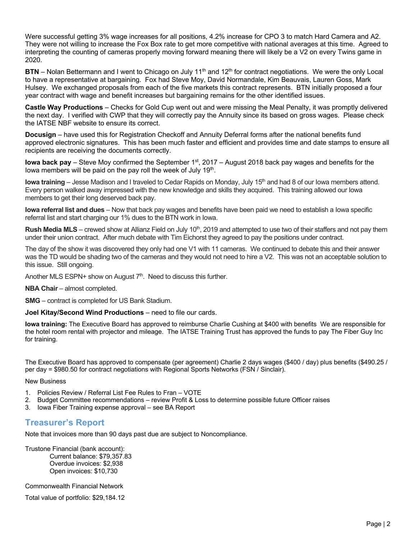Were successful getting 3% wage increases for all positions, 4.2% increase for CPO 3 to match Hard Camera and A2. They were not willing to increase the Fox Box rate to get more competitive with national averages at this time. Agreed to interpreting the counting of cameras properly moving forward meaning there will likely be a V2 on every Twins game in 2020.

**BTN** – Nolan Bettermann and I went to Chicago on July 11<sup>th</sup> and 12<sup>th</sup> for contract negotiations. We were the only Local to have a representative at bargaining. Fox had Steve Moy, David Normandale, Kim Beauvais, Lauren Goss, Mark Hulsey. We exchanged proposals from each of the five markets this contract represents. BTN initially proposed a four year contract with wage and benefit increases but bargaining remains for the other identified issues.

**Castle Way Productions** – Checks for Gold Cup went out and were missing the Meal Penalty, it was promptly delivered the next day. I verified with CWP that they will correctly pay the Annuity since its based on gross wages. Please check the IATSE NBF website to ensure its correct.

**Docusign** – have used this for Registration Checkoff and Annuity Deferral forms after the national benefits fund approved electronic signatures. This has been much faster and efficient and provides time and date stamps to ensure all recipients are receiving the documents correctly.

**Iowa back pay** – Steve Moy confirmed the September 1<sup>st</sup>, 2017 – August 2018 back pay wages and benefits for the lowa members will be paid on the pay roll the week of July 19<sup>th</sup>.

**Iowa training** – Jesse Madison and I traveled to Cedar Rapids on Monday, July 15<sup>th</sup> and had 8 of our Iowa members attend. Every person walked away impressed with the new knowledge and skills they acquired. This training allowed our Iowa members to get their long deserved back pay.

**Iowa referral list and dues** – Now that back pay wages and benefits have been paid we need to establish a Iowa specific referral list and start charging our 1% dues to the BTN work in Iowa.

**Rush Media MLS** – crewed show at Allianz Field on July 10<sup>th</sup>, 2019 and attempted to use two of their staffers and not pay them under their union contract. After much debate with Tim Eichorst they agreed to pay the positions under contract.

The day of the show it was discovered they only had one V1 with 11 cameras. We continued to debate this and their answer was the TD would be shading two of the cameras and they would not need to hire a V2. This was not an acceptable solution to this issue. Still ongoing.

Another MLS ESPN+ show on August  $7<sup>th</sup>$ . Need to discuss this further.

**NBA Chair** – almost completed.

**SMG** – contract is completed for US Bank Stadium.

#### **Joel Kitay/Second Wind Productions** – need to file our cards.

**Iowa training:** The Executive Board has approved to reimburse Charlie Cushing at \$400 with benefits We are responsible for the hotel room rental with projector and mileage. The IATSE Training Trust has approved the funds to pay The Fiber Guy Inc for training.

The Executive Board has approved to compensate (per agreement) Charlie 2 days wages (\$400 / day) plus benefits (\$490.25 / per day = \$980.50 for contract negotiations with Regional Sports Networks (FSN / Sinclair).

New Business

- 1. Policies Review / Referral List Fee Rules to Fran VOTE
- 2. Budget Committee recommendations review Profit & Loss to determine possible future Officer raises
- 3. Iowa Fiber Training expense approval see BA Report

### **Treasurer's Report**

Note that invoices more than 90 days past due are subject to Noncompliance.

Trustone Financial (bank account): Current balance: \$79,357.83 Overdue invoices: \$2,938 Open invoices: \$10,730

Commonwealth Financial Network

Total value of portfolio: \$29,184.12